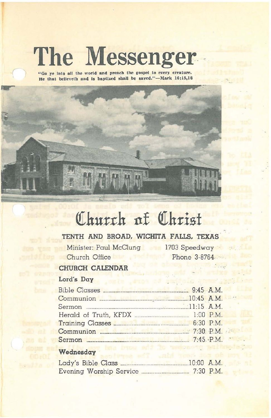# **The Messenger.**

"Go ye into all the world and preach the gospel to every creature. He that believeth and is baptized shall be saved."-Mark 16:15,16



# Church of Christ

# **TENTH AND BROAD. WICHITA FALLS. TEXAS**

Minister: Paul McClung 1703 Speedway Church Office

Phone 3-8764

 $-3.1$ 

# **CHURCH CALENDAR**

## Lord's **Day**

| Communion <b>Executive Communication</b> 20:45 A.M.        |  |  |
|------------------------------------------------------------|--|--|
|                                                            |  |  |
|                                                            |  |  |
| Training Classes <b>Exercise Classes</b> 6:30 P.M.         |  |  |
| Communion <u>External Communication</u> of Table 7:30 P.M. |  |  |
|                                                            |  |  |
|                                                            |  |  |

#### **Wednesday**

| Lady's Bible Class |                         | $10:00$ A.M. |
|--------------------|-------------------------|--------------|
|                    | Evening Worship Service | $7:30$ P.M.  |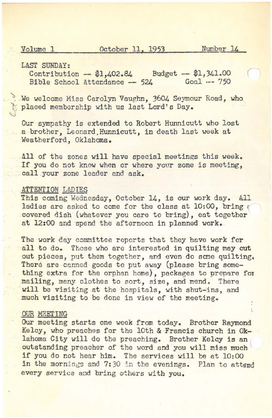Volume 1 October 11, 1953 Number 14

LAST SUNDAY:

Contribution  $-$  \$1,402.84 Budget  $-$  \$1,341.00<br>Bible School Attendance  $-$  524 Goal  $-$  750 Bible School Attendance  $-$  524

We welcome Miss Carolyn Vaughn, 3604 Seymour Road, who placed membership with us last Lord's Day.

Cur sympathy is extended to Robert Hunnicutt who lost a brother, Leonard.Hunnicutt, in death last week at Weatherford, Oklahoma.

All of the zones will have special meetings this week. If you do not know when or where your zone is meeting, call your zone leader and ask.

#### **ATTENTION LADIES**

This coming Wednesday, October 14, is our work day. All ladies are asked to come for the class at 10:00, bring a covered dish (whatever you care to bring), eat together at 12:00 and spend the afternoon in planned work.

The work day committee reports that they have work for all to do. Those who are interested in quilting may cut out pieces, put them together, and even do some quilting. There are canned goods to put away (please bring something extra for the orphan home), packages to prepare for mailing, many clothes to sort, size, and mend. There will be visiting at the hospitals, with shut-ins, and much visiting to be done in view of the meeting.

#### OUR MEETING

Our meeting starts one week from today, Brother Raymond Kelcy, who preaches for the 10th & Francis church in Oklahoma City will do the preaching. Brother Kelcy is an outstanding preacher of the word end you will miss much if you do not hear him. The services will be at 10:00 in the mornings and 7:30 in the evenings. Plan to attend every service and bring others with you.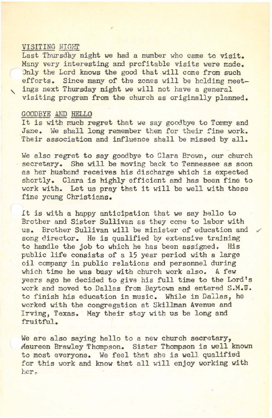#### VISITING NIGHT

Last Thursday night we had a number who came to visit. Many very interesting and profitable visits were made. Only the Lord knows the good that will come from such efforts. Since many of the zones will be holding meet ings next Thursday night we will not have a general visiting program from the church as originally planned.

#### GOODBYE AND HELLO

It is with much regret that we say goodbye to Tommy and Jane. We shall long remember them for their fine work. Their association and influence shall be missed by all.

We also regret to say goodbye to Clara Brown, our church secretary. She will be moving back to Tennessee as soon as her husband receives his discharge which is expected shortly. Clara is highly efficient and has been fine to work with. Let us pray that it will be well with these fine young Christians.

It is with <sup>a</sup> happy anticipation that we say hello to Brother and Sister Sullivan as they come to labor with us. Brother Sullivan will be minister of education and song director. He is qualified by extensive training to handle the job to which he has been assigned. His public life consists of a 15 year period with a large oil company in public relations and personnel during which time he was busy with church work also. A few years ago he decided to give his full time to the Lord's work and moved to Dallas from Baytown and entered S.M.W. to finish his education in music. While in Dallas, he worked with the congregation at Skillman Avenue and Irving, Texas. May their stay with us be long and fruitful.

We are also saying hello to a new church secretary, Maureen Brawley Thompson. Sister Thompson is well known to most everyone. We feel that she is well qualified for this work and know that all will enjoy working with her.